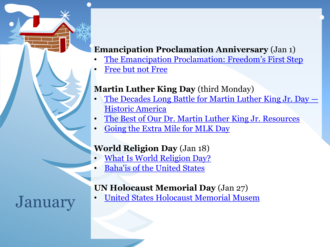# **Emancipation Proclamation Anniversary** (Jan 1)

- [The Emancipation Proclamation: Freedom's First Step](https://edsitement.neh.gov/lesson-plans/emancipation-proclamation-freedoms-first-steps)
- [Free but not Free](https://ca.pbslearningmedia.org/resource/mr13socstuslpemancp/free-but-not-free-life-after-the-emancipation-proclamation/)

### **Martin Luther King Day** (third Monday)

- [The Decades Long Battle for Martin Luther King Jr. Day](https://www.historicamerica.org/journal/historyofmlkday) [—](https://www.historicamerica.org/journal/historyofmlkday) [Historic America](https://www.historicamerica.org/journal/historyofmlkday)
- [The Best of Our Dr. Martin Luther King Jr. Resources](https://www.learningforjustice.org/magazine/the-best-of-our-dr-martin-luther-king-jr-resources)
- [Going the Extra Mile for MLK Day](https://www.learningforjustice.org/magazine/going-the-extra-mile-for-mlk-day)

### **World Religion Day** (Jan 18)

- [What Is World Religion Day?](https://www.bahaiblog.net/2019/01/what-is-world-religion-day/)
- [Baha'is of the United States](https://www.bahai.us/)

# **UN Holocaust Memorial Day** (Jan 27)

January • [United States Holocaust Memorial Musem](https://encyclopedia.ushmm.org/content/en/article/international-holocaust-remembrance-day)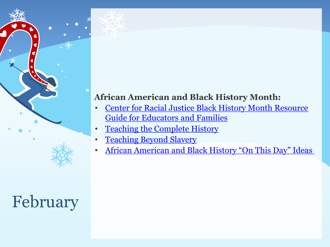# **African American and Black History Month:**

- [Center for Racial Justice Black History Month Resource](https://centerracialjustice.org/resources/black-history-month-resource-guide-for-educators-and-families/)  [Guide for Educators and Families](https://centerracialjustice.org/resources/black-history-month-resource-guide-for-educators-and-families/)
	- **Teaching the Complete History**
	- **Teaching Beyond Slavery**
	- [African American and Black History "On This Day" Ideas](https://www.blackfacts.com/facts/2)

February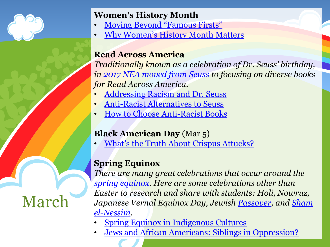

March

# **Women's History Month**

- [Moving Beyond "Famous Firsts"](https://www.learningforjustice.org/magazine/a-more-complete-womens-history)
- [Why Women's History Month Matters](https://www.learningforjustice.org/magazine/why-womens-history-month-matters-in-2016)

# **Read Across America**

*Traditionally known as a celebration of Dr. Seuss' birthday, in [2017 NEA moved from Seuss](https://www.slj.com/?detailStory=cat-hat-racist-read-across-america-shifts-away-dr-seuss-toward-diverse-books) to focusing on diverse books for Read Across America.*

- [Addressing Racism and Dr. Seuss](https://www.learningforjustice.org/magazine/its-time-to-talk-about-dr-seuss)
- [Anti-Racist Alternatives to Seuss](https://colorfulpages.org/2019/03/12/anti-racism-over-tradition-alternatives-to-dr-seuss-and-racism)
- [How to Choose Anti-Racist Books](https://socialjusticebooks.org/guide-for-selecting-anti-bias-childrens-books/)

# **Black American Day** (Mar 5)

• [What's the Truth About](https://www.npca.org/articles/2397-accidental-hero) [Crispus](https://www.npca.org/articles/2397-accidental-hero) [Attucks?](https://www.npca.org/articles/2397-accidental-hero)

# **Spring Equinox**

*There are many great celebrations that occur around the [spring equinox.](https://www.scholastic.com/teachers/articles/teaching-content/web-hunt-vernal-equinox/) Here are some celebrations other than Easter to research and share with students: Holi, Nowruz, Japanese Vernal Equinox Day, Jewish [Passover](https://www.lookstein.org/resources/holidays/pesach-resources/), and [Sham](https://www.egypttoday.com/Article/4/47334/Sham-El-Nessim-Egypt%E2%80%99s-oldest-celebration)  [el-Nessim.](https://www.egypttoday.com/Article/4/47334/Sham-El-Nessim-Egypt%E2%80%99s-oldest-celebration)*

- [Spring Equinox in Indigenous Cultures](http://blog.nativepartnership.org/spring-equinox-in-native-american-cultures/)
- [Jews and African Americans: Siblings in Oppression?](https://jwa.org/teach/livingthelegacy/civilrights/jews-and-african-americans-siblings-in-oppression)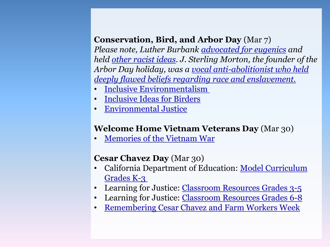# **Conservation, Bird, and Arbor Day** (Mar 7)

*Please note, Luther Burbank [advocated for eugenics](https://en.wikipedia.org/wiki/Luther_Burbank:~:text=in%20the%201960s.-,Eugenics,and%20other%20racially%20motivated%20discrimination.) and held [other racist ideas.](http://santarosahistory.com/wordpress/2018/05/burbank-and-the-chinese/) J. Sterling Morton, the founder of the Arbor Day holiday, was a [vocal anti-abolitionist who held](https://www.arborday.org/media/pressreleases/pressrelease.cfm?id=480)  [deeply flawed beliefs regarding race and enslavement.](https://www.arborday.org/media/pressreleases/pressrelease.cfm?id=480)*

- [Inclusive Environmentalism](https://www.learningforjustice.org/magazine/how-inclusive-is-your-teaching-about-the-environment)
- **[Inclusive Ideas for Birders](https://www.talkinbirds.com/ideas-for-welcoming-and-inclusive-birders)**
- [Environmental Justice](https://www.lcv.org/article/building-anti-racist-environmental-movement-must-start-us/)

### **Welcome Home Vietnam Veterans Day** (Mar 30)

• [Memories of the Vietnam War](https://www.facinghistory.org/resource-library/regret-inform-legacies-memories-vietnam-war)

### **Cesar Chavez Day** (Mar 30)

- California Department of Education: [Model Curriculum](https://chavez.cde.ca.gov/ModelCurriculum/Teachers/Lessons_K-3.aspx)  [Grades K-3](https://chavez.cde.ca.gov/ModelCurriculum/Teachers/Lessons_K-3.aspx)
- Learning for Justice: [Classroom Resources Grades 3-5](https://www.learningforjustice.org/classroom-resources/lessons/united-we-stand)
- Learning for Justice: [Classroom Resources Grades 6-8](https://www.learningforjustice.org/learning-plan/standing-up-to-power-with-cesar-chavez)
- [Remembering Cesar Chavez and Farm Workers Week](https://www.learningforjustice.org/magazine/help-students-remember-cesar-chavez)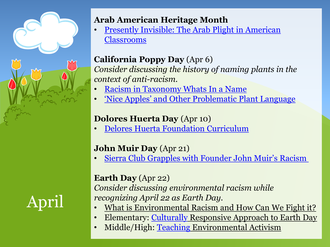

# April

## **Arab American Heritage Month**

• [Presently Invisible: The Arab Plight in American](https://www.learningforjustice.org/magazine/presently-invisible-the-arab-plight-in-american-classrooms)  [Classrooms](https://www.learningforjustice.org/magazine/presently-invisible-the-arab-plight-in-american-classrooms)

# **California Poppy Day** (Apr 6)

*Consider discussing the history of naming plants in the context of anti-racism.*

- [Racism in Taxonomy Whats](https://www.hoytarboretum.org/racism-in-taxonomy-whats-in-a-name/) In a Name
- ['Nice Apples' and Other Problematic Plant Language](https://freerads.org/2016/09/29/nice-apples-and-other-problematic-plant-language/)

# **Dolores Huerta Day** (Apr 10)

• [Delores Huerta Foundation Curriculum](https://doloreshuerta.org/educationpolicy/dolores-huerta-day-curriculum/)

# **John Muir Day** (Apr 21)

• [Sierra Club Grapples with Founder John Muir's Racism](https://www.smithsonianmag.com/smart-news/sierra-club-grapples-founder-john-muirs-racism-180975404/)

# **Earth Day** (Apr 22)

*Consider discussing environmental racism while recognizing April 22 as Earth Day.*

- What is Environmental Racism and How Can We Fight it?
- Elementary: [Culturally](https://blog.leeandlow.com/2018/04/10/a-culturally-responsive-approach-to-earth-day/Culturally) Responsive Approach to Earth Day
- Middle/High: [Teaching](https://www.pbs.org/education/blog/teaching-environmental-activism-using-pbs-learningmedias-celebrate-earth-day-resourcesTeaching) Environmental Activism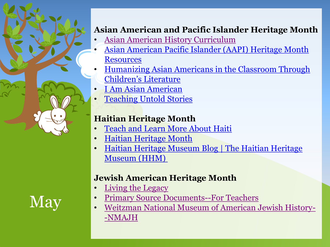### **Asian American and Pacific Islander Heritage Month**

- [Asian American History Curriculum](http://naseemrdz.com/asian-american-history-curriculum/)
- [Asian American Pacific Islander \(AAPI\) Heritage Month](https://www.adl.org/education/resources/tools-and-strategies/asian-american-pacific-islander-aapi-heritage-month)  **[Resources](https://www.adl.org/education/resources/tools-and-strategies/asian-american-pacific-islander-aapi-heritage-month)**
- [Humanizing Asian Americans in the Classroom Through](https://www.learningforjustice.org/magazine/humanizing-asian-americans-in-the-classroom-through-childrens-literature)  [Children's Literature](https://www.learningforjustice.org/magazine/humanizing-asian-americans-in-the-classroom-through-childrens-literature)
- [I Am Asian American](https://www.learningforjustice.org/magazine/summer-2013/i-am-asian-american)
- **[Teaching Untold Stories](https://www.zinnedproject.org/whats-new/if-we-knew/teaching-untold-stories-during-asian-pacific-american-heritage-month)**

# **Haitian Heritage Month**

- [Teach and Learn More About Haiti](https://www.learningforjustice.org/magazine/summer-2016/toolkit-for-josephs-castle-in-the-sky)
- [Haitian Heritage Month](http://www.haitianheritagemuseum.org/haitian-heritage-month/)
- [Haitian Heritage Museum Blog | The Haitian Heritage](https://haitianheritagemuseum.wordpress.com/)  [Museum \(HHM\)](https://haitianheritagemuseum.wordpress.com/)

# **Jewish American Heritage Month**

- [Living the Legacy](https://jwa.org/teach/livingthelegacy)
- [Primary Source Documents--For Teachers](https://www.jewishheritagemonth.gov/for-teachers/)
- [Weitzman National Museum of American Jewish History-](https://www.nmajh.org/jewish-american-heritage-month/) [-NMAJH](https://www.nmajh.org/jewish-american-heritage-month/)

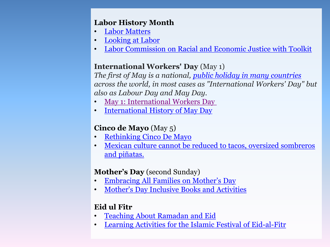### **Labor History Month**

- [Labor Matters](https://www.learningforjustice.org/classroom-resources/lessons/labor-matters)
- [Looking at Labor](https://www.learningforjustice.org/classroom-resources/lessons/looking-at-labor)
- [Labor Commission on Racial and Economic Justice with Toolkit](https://racial-justice.aflcio.org/blog/est-aliquid-se-ipsum-flagitiosum-etiamsi-nulla)

### **International Workers' Day** (May 1)

*The first of May is a national, [public holiday in many countries](https://en.wikipedia.org/wiki/International_Workers%27_Day) across the world, in most cases as "International Workers' Day" but also as Labour Day and May Day.*

- [May 1: International Workers Day](https://www.zinnedproject.org/news/tdih/international-workers/)
- [International History of May Day](https://www.foundsf.org/index.php?title=The_Incomplete,_True,_Authentic_and_Wonderful_History_of_May_Day)

### **Cinco de Mayo** (May 5)

- [Rethinking Cinco De Mayo](https://www.zinnedproject.org/if-we-knew-our-history/rethinking-cinco-de-mayo/)
- [Mexican culture cannot be reduced to tacos, oversized sombreros](https://www.learningforjustice.org/magazine/what-is-cinco-de-mayo)  [and piñatas.](https://www.learningforjustice.org/magazine/what-is-cinco-de-mayo)

### **Mother's Day** (second Sunday)

- [Embracing All Families on Mother's Day](https://www.welcomingschools.org/pages/a-note-on-mothers-fathers-day1/)
- [Mother's Day Inclusive Books and Activities](https://teachingwithhaley.com/2020/04/26/mothers-day-and-fathers-day-in-the-inclusive-classroom/)

### **Eid ul Fitr**

- [Teaching About Ramadan and Eid](https://www.learningforjustice.org/magazine/teaching-about-ramadan-and-eid)
- [Learning Activities for the Islamic Festival of Eid-al-Fitr](https://www.pathstoliteracy.org/blog/learning-activities-islamic-festival-eid-al-fitr)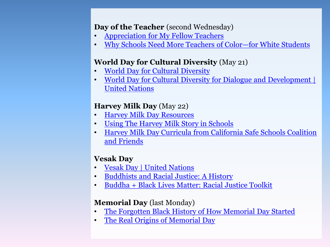### **Day of the Teacher** (second Wednesday)

- [Appreciation for My Fellow Teachers](https://www.learningforjustice.org/magazine/appreciation-for-my-fellow-teachers)
- [Why Schools Need More Teachers of Color](https://www.theatlantic.com/education/archive/2015/08/teachers-of-color-white-students/400553/)[—](https://www.theatlantic.com/education/archive/2015/08/teachers-of-color-white-students/400553/)[for White Students](https://www.theatlantic.com/education/archive/2015/08/teachers-of-color-white-students/400553/)

### **World Day for Cultural Diversity** (May 21)

- [World Day for Cultural Diversity](https://www.parenta.com/2020/05/01/world-day-for-cultural-diversity/)
- [World Day for Cultural Diversity for Dialogue and Development |](https://www.un.org/en/observances/cultural-diversity-day)  [United Nations](https://www.un.org/en/observances/cultural-diversity-day)

### **Harvey Milk Day** (May 22)

- [Harvey Milk Day Resources](https://www.alameda.k12.ca.us/HarveyMilkDayResources)
- [Using The Harvey Milk Story in Schools](https://milkfoundation.org/harvey-milk-holiday-may-22/using-the-harvey-milk-story-in-schools/)
- [Harvey Milk Day Curricula from California Safe Schools Coalition](http://www.safeschoolscoalition.org/HarveyMilkDay/HarveyMilkCurricula.html)  [and Friends](http://www.safeschoolscoalition.org/HarveyMilkDay/HarveyMilkCurricula.html)

### **Vesak Day**

- [Vesak Day | United Nations](https://www.un.org/en/observances/vesak-day)
- [Buddhists and Racial Justice: A History](https://tricycle.org/trikedaily/buddhists-racial-justice/)
- [Buddha + Black Lives Matter: Racial Justice Toolkit](http://buddhistpeacefellowship.org/buddha-black-lives-matter-racial-justice-toolkit/)

### **Memorial Day** (last Monday)

- [The Forgotten Black History of How Memorial Day Started](https://time.com/5836444/black-memorial-day/)
- [The Real Origins of Memorial Day](https://www.learningforjustice.org/classroom-resources/texts/the-real-origins-of-memorial-day)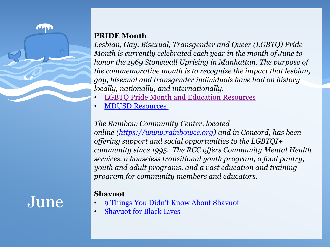### **PRIDE Month**

*Lesbian, Gay, Bisexual, Transgender and Queer (LGBTQ) Pride Month is currently celebrated each year in the month of June to honor the 1969 Stonewall Uprising in Manhattan. The purpose of the commemorative month is to recognize the impact that lesbian, gay, bisexual and transgender individuals have had on history locally, nationally, and internationally.*

- [LGBTQ Pride Month and Education Resources](https://www.adl.org/education/resources/tools-and-strategies/lgbtq-pride-month-and-education-resources)
- [MDUSD Resources](https://www.mdusd.org/lgbtqia)

### *The Rainbow Community Center, located*

*online ([https://www.rainbowcc.org](https://www.rainbowcc.org/)) and in Concord, has been offering support and social opportunities to the LGBTQI+ community since 1995. The RCC offers Community Mental Health services, a houseless transitional youth program, a food pantry, youth and adult programs, and a vast education and training program for community members and educators.*

### **Shavuot**

June

mu

- [9 Things You Didn't Know About Shavuot](https://www.myjewishlearning.com/article/9-things-you-didnt-know-about-shavuot/)
- **[Shavuot for Black Lives](https://www.jfrej.org/assets/uploads/Shavuot-WHOLE_Final.pdf)**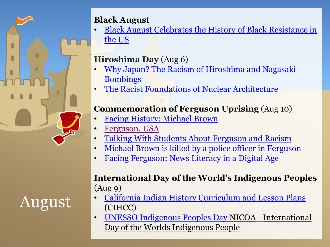# **Black August**

• [Black August Celebrates the History of Black Resistance in](https://www.teenvogue.com/story/what-is-black-august)  [the US](https://www.teenvogue.com/story/what-is-black-august)

# **Hiroshima Day** (Aug 6)

- [Why Japan? The Racism of Hiroshima and Nagasaki](https://theecologist.org/2016/aug/17/why-japan-racism-hiroshima-and-nagasaki-bombings)  [Bombings](https://theecologist.org/2016/aug/17/why-japan-racism-hiroshima-and-nagasaki-bombings)
- [The Racist Foundations of Nuclear Architecture](http://bostonreview.net/war-security-global-justice/elaine-scarry-racist-foundation-nuclear-architecture)

# **Commemoration of Ferguson Uprising** (Aug 10)

- [Facing History: Michael Brown](https://lanetwork.facinghistory.org/michael-brown/)
- [Ferguson, USA](https://www.learningforjustice.org/magazine/spring-2015/ferguson-usa)
- [Talking With Students About Ferguson and Racism](https://www.learningforjustice.org/magazine/talking-with-students-about-ferguson-and-racism)
- [Michael Brown is killed by a police officer in Ferguson](https://www.history.com/this-day-in-history/michael-brown-killed-by-police-ferguson-mo)
- [Facing Ferguson: News Literacy in a Digital Age](https://www.facinghistory.org/resource-library/facing-ferguson-news-literacy-digital-age)

# **International Day of the World's Indigenous Peoples** (Aug 9)

- [California Indian History Curriculum and Lesson Plans](https://www.csus.edu/college/education/engagement/california-indian-coalition-curriculum.html) (CIHCC)
- [UNESSO Indigenous Peoples Day N](https://en.unesco.org/commemorations/indigenouspeoplesday)ICOA[—](https://www.nicoa.org/international-day-of-the-worlds-indigenous-people/)International Day of the Worlds Indigenous People

# August

ſ

 $\blacksquare$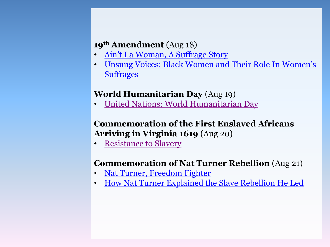### **19th Amendment** (Aug 18)

- [Ain't](https://blogs.loc.gov/teachers/2019/02/aint-i-a-woman-a-suffrage-story-for-black-history-month/) [I a Woman, A Suffrage Story](https://blogs.loc.gov/teachers/2019/02/aint-i-a-woman-a-suffrage-story-for-black-history-month/)
- [Unsung Voices: Black Women and Their Role In Women's](https://www.womenshistory.org/resources/lesson-plan/unsung-voices-black-women-and-their-role-womens-suffrage)  **[Suffrages](https://www.womenshistory.org/resources/lesson-plan/unsung-voices-black-women-and-their-role-womens-suffrage)**

### **World Humanitarian Day** (Aug 19)

• [United Nations: World Humanitarian Day](https://www.un.org/en/observances/humanitarian-day)

### **Commemoration of the First Enslaved Africans Arriving in Virginia 1619** (Aug 20)

**[Resistance to Slavery](https://www.pbs.org/wnet/african-americans-many-rivers-to-cross/classroom/resistance-to-slavery-lesson-plan/)** 

# **Commemoration of Nat Turner Rebellion** (Aug 21)

- [Nat Turner, Freedom Fighter](https://www.learningforjustice.org/classroom-resources/texts/nat-turner-freedom-fighter)
- [How Nat Turner Explained the Slave Rebellion He Led](https://time.com/4446349/nat-turner-rebellion-history/)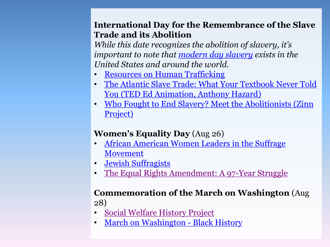### **International Day for the Remembrance of the Slave Trade and its Abolition**

*While this date recognizes the abolition of slavery, it's important to note that [modern day slavery](https://www.state.gov/what-is-modern-slavery/) exists in the United States and around the world.*

- [Resources on Human Trafficking](http://www.endslaverynow.org/act/educate)
- [The Atlantic Slave Trade: What Your Textbook Never Told](https://ed.ted.com/lessons/the-atlantic-slave-trade-what-your-textbook-never-told-you-anthony-hazard)  [You \(TED Ed Animation, Anthony Hazard\)](https://ed.ted.com/lessons/the-atlantic-slave-trade-what-your-textbook-never-told-you-anthony-hazard)
- [Who Fought to End Slavery? Meet the Abolitionists \(Zinn](https://www.zinnedproject.org/materials/who-fought-to-end-slavery-mixer)  [Project\)](https://www.zinnedproject.org/materials/who-fought-to-end-slavery-mixer)

### **Women's Equality Day** (Aug 26)

- [African American Women Leaders in the Suffrage](https://suffragistmemorial.org/african-american-women-leaders-in-the-suffrage-movement/)  [Movement](https://suffragistmemorial.org/african-american-women-leaders-in-the-suffrage-movement/)
- [Jewish Suffragists](https://suffragistmemorial.org/jewish-suffragists/)
- [The Equal Rights Amendment: A 97-Year Struggle](https://www.facinghistory.org/educator-resources/current-events/equal-rights-amendment-97-year-struggle)

### **Commemoration of the March on Washington** (Aug 28)

- [Social Welfare History Project](https://socialwelfare.library.vcu.edu/eras/march-on-washington-august-28-1963/)
- **[March on Washington -](https://www.history.com/topics/black-history/march-on-washington#:~:text=Officially%20called%20the%20March%20on,the%20press%20covered%20the%20event) [Black History](https://www.history.com/topics/black-history/march-on-washington#:~:text=Officially%20called%20the%20March%20on,the%20press%20covered%20the%20event)**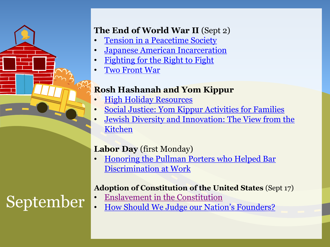# **The End of World War II** (Sept 2)

- **[Tension in a Peacetime Society](https://www.ww2classroom.org/system/files/essays/WWII_CURRICULUM_GUIDE_VOL-4_OVERVIEW-ESSAY-6-Tension-in-a-Peacetime-Society.pdf)**
- [Japanese American Incarceration](https://www.facinghistory.org/explore-facing-historys-educator-resources-japanese-american-incarceration)
- [Fighting for the Right to Fight](https://www.nationalww2museum.org/sites/default/files/2019-11/FFRTF-MiddleSchoolClassroomGuide.pdf)
- [Two Front War](https://www.nhd.org/sites/default/files/Two-Front War  Plesson Plan.pdf)

# **Rosh Hashanah and Yom Kippur**

- [High Holiday Resources](https://www.lookstein.org/resources/holidays/high-holidays-resources/)
- [Social Justice: Yom Kippur Activities for Families](https://reformjudaism.org/jewish-holidays/yom-kippur/pursuing-social-justice-yom-kippur-activities-families)
- [Jewish Diversity and Innovation: The View from the](https://jwa.org/teach/golearn/nov06)  [Kitchen](https://jwa.org/teach/golearn/nov06)

# **Labor Day** (first Monday)

• [Honoring the Pullman Porters who Helped Bar](https://www.becauseofthemwecan.com/blogs/botwc-firsts/honoring-the-pullman-porters-who-helped-bar-discrimination-at-work)  [Discrimination at Work](https://www.becauseofthemwecan.com/blogs/botwc-firsts/honoring-the-pullman-porters-who-helped-bar-discrimination-at-work)

### **Adoption of Constitution of the United States** (Sept 17)

- 
- September : [Enslavement in the Constitution](https://www.learningforjustice.org/podcasts/teaching-hard-history/american-slavery/slavery-in-the-constitution) September : [How](https://www.crf-usa.org/images/pdf/challenge/How-Should-We-Judge-Nation-Founders.pdf) [Should We Judge our Nation's Founders?](https://www.crf-usa.org/images/pdf/challenge/How-Should-We-Judge-Nation-Founders.pdf)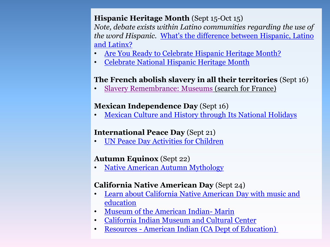### **Hispanic Heritage Month** (Sept 15-Oct 15)

*Note, debate exists within Latino communities regarding the use of the word Hispanic.* [What's the difference between Hispanic, Latino](https://www.youtube.com/watch?v=D3hqYDFXs5I)  [and Latinx?](https://www.youtube.com/watch?v=D3hqYDFXs5I)

- [Are You Ready to Celebrate Hispanic Heritage Month?](https://www.learningforjustice.org/the-moment/september-8-2020-are-you-ready-to-celebrate-hispanic-heritage-month)
- [Celebrate National Hispanic Heritage Month](https://www.learningforjustice.org/the-moment/september-12-2019-celebrate-national-hispanic-heritage-month)

### **The French abolish slavery in all their territories** (Sept 16)

• [Slavery Remembrance: Museums](https://slaveryandremembrance.org/partners/search/) (search for France)

### **Mexican Independence Day** (Sept 16)

• [Mexican Culture and History through Its National Holidays](https://edsitement.neh.gov/lesson-plans/mexican-culture-and-history-through-its-national-holidays) 

### **International Peace Day** (Sept 21)

• [UN Peace Day Activities for Children](https://internationaldayofpeace.org/get-involved/children-and-youth/) 

### **Autumn Equinox** (Sept 22)

• [Native American Autumn Mythology](http://www.native-languages.org/legends-autumn.htm) 

### **California Native American Day** (Sept 24)

- [Learn about California Native American Day with music and](https://www.youtube.com/watch?v=mnlSBSVssN0)  [education](https://www.youtube.com/watch?v=mnlSBSVssN0)
- [Museum of the American Indian-](https://www.marinindian.com/) [Marin](https://www.marinindian.com/)
- [California Indian Museum and Cultural Center](https://cimcc.org/)
- [Resources -](https://www.cde.ca.gov/sp/ai/re/) [American Indian \(CA Dept](https://www.cde.ca.gov/sp/ai/re/) [of Education\)](https://www.cde.ca.gov/sp/ai/re/)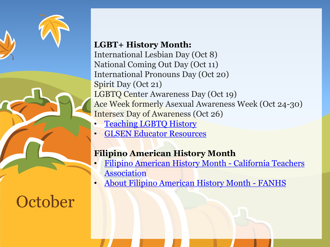

### **LGBT+ History Month:**

International Lesbian Day (Oct 8) National Coming Out Day (Oct 11) International Pronouns Day (Oct 20) Spirit Day (Oct 21) LGBTQ Center Awareness Day (Oct 19) Ace Week formerly Asexual Awareness Week (Oct 24-30) Intersex Day of Awareness (Oct 26)

- **[Teaching LGBTQ History](https://www.lgbtqhistory.org/)**
- [GLSEN Educator Resources](https://www.glsen.org/resources/educator-resources)

# **Filipino American History Month**

- [Filipino American History Month -](https://www.cta.org/awareness-events/filipino-american-history-month) [California Teachers](https://www.cta.org/awareness-events/filipino-american-history-month)  [Association](https://www.cta.org/awareness-events/filipino-american-history-month)
- [About Filipino American History Month -](http://fanhs-national.org/filam/about/) [FANHS](http://fanhs-national.org/filam/about/)

# **October**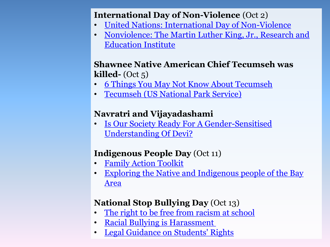## **International Day of Non-Violence** (Oct 2)

- [United Nations: International Day of Non-Violence](https://www.un.org/en/observances/non-violence-day)
- [Nonviolence: The Martin Luther King, Jr., Research and](https://kinginstitute.stanford.edu/encyclopedia/nonviolence)  [Education Institute](https://kinginstitute.stanford.edu/encyclopedia/nonviolence)

## **Shawnee Native American Chief Tecumseh was killed-** (Oct 5)

- [6 Things You May Not Know About Tecumseh](https://www.history.com/news/6-things-you-may-not-know-about-tecumseh)
- [Tecumseh \(US National Park Service\)](https://www.nps.gov/people/tecumseh.htm)

# **Navratri and Vijayadashami**

• [Is Our Society Ready For A Gender-Sensitised](https://feminisminindia.com/2018/10/17/devi-gender-sensitised/) [Understanding Of Devi?](https://feminisminindia.com/2018/10/17/devi-gender-sensitised/)

# **Indigenous People Day** (Oct 11)

- [Family Action Toolkit](https://booksforlittles.com/student-ignition-society/sis-resources/toolkit-indigenous-peoples-day/)
- Exploring the Native and Indigenous people of the Bay [Area](https://www.learningforjustice.org/learning-plan/exploring-the-native-and-indigenous-people-of-the-bay-area-0)

# **National Stop Bullying Day** (Oct 13)

- [The right to be free from racism at school](https://www.elc-pa.org/wp-content/uploads/2020/09/Right-To-Be-Free-From-Racial-Discrimination.pdf)
- [Racial Bullying is Harassment](https://www.aclunc.org/our-work/know-your-rights/know-your-rights-bullying-and-harrassment)
- [Legal Guidance on Students' Rights](https://neaedjustice.org/wp-content/uploads/2018/04/NEA-Legal-Guidance-on-Students-Rights-2018.03.13.pdf)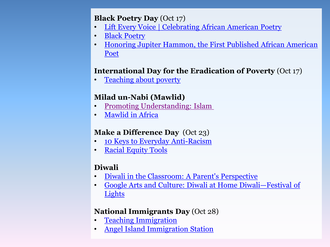### **Black Poetry Day** (Oct 17)

- [Lift Every Voice | Celebrating African American Poetry](https://www.africanamericanpoetry.org/#Poets-Scroll-Placer)
- [Black Poetry](https://www.poetryfoundation.org/collections/101640/celebrating-black-history-month)
- [Honoring Jupiter Hammon, the First Published African American](https://ncte.org/blog/2020/10/celebrating-black-poetry/)  [Poet](https://ncte.org/blog/2020/10/celebrating-black-poetry/)

### **International Day for the Eradication of Poverty** (Oct 17)

• [Teaching about poverty](https://www.learningforjustice.org/magazine/international-day-for-the-eradication-of-poverty)

# **Milad un-Nabi (Mawlid)**

- [Promoting Understanding: Islam](https://ca.pbslearningmedia.org/collection/promoting-understanding-islam/)
- [Mawlid in Africa](https://multiculturalkidblogs.com/2020/10/13/mawlid-in-africa/)

### **Make a Difference Day** (Oct 23)

- [10 Keys to Everyday Anti-Racism](https://greatergood.berkeley.edu/article/item/ten_keys_to_everyday_anti_racism)
- [Racial Equity Tools](https://www.racialequitytools.org/resources/fundamentals/resource-list/resource-lists)

### **Diwali**

- [Diwali in the Classroom: A Parent's Perspective](https://www.learningforjustice.org/magazine/diwali-in-the-classroom-a-parents-perspective)
- [Google Arts and Culture: Diwali at Home](https://g.co/arts/HD5pKYh1mt6HaCeV6) [Diwali](https://kids.nationalgeographic.com/pages/article/diwali)[—](https://kids.nationalgeographic.com/pages/article/diwali)[Festival of](https://kids.nationalgeographic.com/pages/article/diwali)  [Lights](https://kids.nationalgeographic.com/pages/article/diwali)

### **National Immigrants Day** (Oct 28)

- **[Teaching Immigration](https://www.ilctr.org/wp-content/uploads/2018/10/Teaching-Immigration-with-the-Immigrant-Stories-Project-FINAL_opt.pdf)**
- [Angel Island Immigration Station](https://www.caeducatorstogether.org/lesson-plans/nbsp2m/the-angel-island-immigration-station-a-nation-of-immigrants)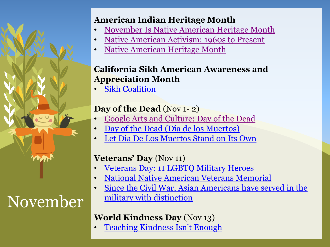# November

# **American Indian Heritage Month**

- [November Is Native American Heritage Month](https://www.learningforjustice.org/the-moment/november-4-2021-november-is-native-american-heritage-month)
- [Native American Activism: 1960s to Present](https://www.zinnedproject.org/materials/native-american-activism-1960s-to-present/)
- [Native American Heritage Month](https://www.adl.org/education/resources/tools-and-strategies/native-american-heritage-month)

# **California Sikh American Awareness and Appreciation Month**

• [Sikh Coalition](https://www.sikhcoalition.org/get-involved/california-sikh-awareness-appreciation-month/)

# **Day of the Dead** (Nov 1- 2)

- [Google Arts and Culture: Day of the Dead](https://g.co/arts/GD6CuRiSAYgTgGa7A)
- [Day of the Dead \(Día](https://www.history.com/topics/halloween/day-of-the-dead) [de los](https://www.history.com/topics/halloween/day-of-the-dead) [Muertos\)](https://www.history.com/topics/halloween/day-of-the-dead)
- [Let Dia](https://www.learningforjustice.org/magazine/let-dia-de-los-muertos-stand-on-its-own) [De Los Muertos](https://www.learningforjustice.org/magazine/let-dia-de-los-muertos-stand-on-its-own) [Stand on Its Own](https://www.learningforjustice.org/magazine/let-dia-de-los-muertos-stand-on-its-own)

# **Veterans' Day** (Nov 11)

- [Veterans Day: 11 LGBTQ Military Heroes](https://taggmagazine.com/11-lgbtq-military-heroes-veterans-day/)
- [National Native American Veterans Memorial](https://americanindian.si.edu/visit/washington/nnavm)
- Since the Civil War, Asian Americans have served in the [military with distinction](https://www.nbcnews.com/news/asian-america/civil-war-asian-americans-soldiers-have-served-distinction-n1008476)

# **World Kindness Day** (Nov 13)

• [Teaching Kindness Isn't Enough](https://www.learningforjustice.org/magazine/fall-2019/teaching-kindness-isnt-enough)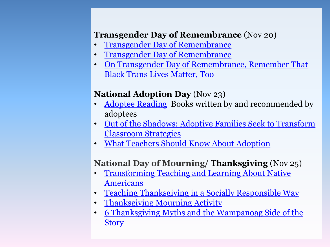### **Transgender Day of Remembrance** (Nov 20)

- [Transgender Day of Remembrance](https://www.glaad.org/tdor)
- [Transgender Day of Remembrance](https://gsanetwork.org/resources/transgender-day-of-remembrance/)
- [On Transgender Day of Remembrance, Remember That](https://www.them.us/story/transgender-day-of-rememberance-black-trans-lives-matter-tony-mcdade-layleen-cubilette-polanco)  [Black Trans Lives Matter, Too](https://www.them.us/story/transgender-day-of-rememberance-black-trans-lives-matter-tony-mcdade-layleen-cubilette-polanco)

# **National Adoption Day** (Nov 23)

- [Adoptee Reading](http://adopteereading.com/) Books written by and recommended by adoptees
- [Out of the Shadows: Adoptive Families Seek to Transform](https://www.learningforjustice.org/magazine/fall-2003/out-of-the-shadows)  [Classroom Strategies](https://www.learningforjustice.org/magazine/fall-2003/out-of-the-shadows)
- [What Teachers Should Know About Adoption](https://qic-ag.org/wp-content/uploads/2017/08/QICAG-Education-Brochure-v041-final.pdf)

# **National Day of Mourning/ Thanksgiving** (Nov 25)

- Transforming Teaching and Learning About Native [Americans](https://americanindian.si.edu/nk360/)
- [Teaching Thanksgiving in a Socially Responsible Way](https://www.learningforjustice.org/magazine/teaching-thanksgiving-in-a-socially-responsible-way)
- [Thanksgiving Mourning Activity](https://www.learningforjustice.org/classroom-resources/lessons/thanksgiving-mourning)
- [6 Thanksgiving Myths and the Wampanoag Side of the](https://indiancountrytoday.com/archive/6-thanksgiving-myths-share-them-with-someone-you-know)  **[Story](https://indiancountrytoday.com/archive/6-thanksgiving-myths-share-them-with-someone-you-know)**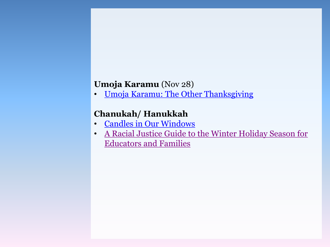### **Umoja Karamu** (Nov 28)

• [Umoja](https://www.huffpost.com/entry/umoja-karamu-the-other-thanksgiving_b_59fa31b6e4b09887ad6f3d14) [Karamu: The Other Thanksgiving](https://www.huffpost.com/entry/umoja-karamu-the-other-thanksgiving_b_59fa31b6e4b09887ad6f3d14)

# **Chanukah/ Hanukkah**

- [Candles in Our Windows](https://www.learningforjustice.org/magazine/spring-2005/candles-in-our-windows)
- [A Racial Justice Guide to the Winter Holiday Season for](https://centerracialjustice.org/resources/racial-justice-guide-holidayseason/)  [Educators and Families](https://centerracialjustice.org/resources/racial-justice-guide-holidayseason/)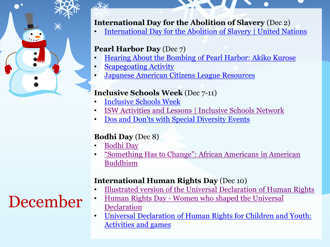

# **International Day for the Abolition of Slavery** (Dec 2)

• [International Day for the Abolition of Slavery | United Nations](https://www.un.org/en/observances/slavery-abolition-day)

### **Pearl Harbor Day** (Dec 7)

- [Hearing About the Bombing of Pearl Harbor: Akiko Kurose](https://www.learningforjustice.org/classroom-resources/texts/hearing-about-the-bombing-of-pearl-harbor-akiko-kurose)
- [Scapegoating Activity](https://www.adl.org/sites/default/files/documents/assets/pdf/education-outreach/Scapegoating-from-Empowering-Children.pdf)
- [Japanese American Citizens League Resources](https://jacl.org/resources)

### **Inclusive Schools Week** (Dec 7-11)

- [Inclusive Schools Week](https://inclusiveschools.org/inclusive-schools-week/)
- [ISW Activities and Lessons | Inclusive Schools Network](https://inclusiveschools.org/inclusive-schools-week/isw-activities-and-lessons/)
- [Dos and Don'ts with Special Diversity Events](https://www.adl.org/education/resources/tools-and-strategies/dos-and-donts-with-special-diversity-events)

### **Bodhi Day** (Dec 8)

[Bodhi Day](https://tricycle.org/beginners/buddhism/bodhi-day/)

 $u$ 

• ["Something Has to Change": African Americans in American](https://www.lionsroar.com/something-has-to-change-blacks-in-american-buddhism/)  [Buddhism](https://www.lionsroar.com/something-has-to-change-blacks-in-american-buddhism/)

### **International Human Rights Day** (Dec 10)

- [Illustrated version of the Universal Declaration of Human Rights](https://www.un.org/en/udhrbook/)
- [Human Rights Day -](https://www.un.org/en/observances/human-rights-day/women-who-shaped-the-universal-declaration) [Women who shaped the Universal](https://www.un.org/en/observances/human-rights-day/women-who-shaped-the-universal-declaration)  [Declaration](https://www.un.org/en/observances/human-rights-day/women-who-shaped-the-universal-declaration)
- [Universal Declaration of Human Rights for Children and Youth:](https://libraryresources.unog.ch/udhrforchildren/activities)  [Activities and games](https://libraryresources.unog.ch/udhrforchildren/activities)

# December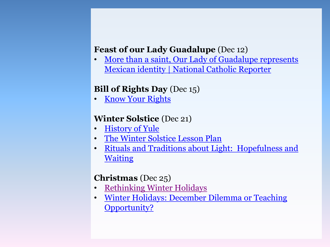### **Feast of our Lady Guadalupe** (Dec 12)

• More than a saint, Our Lady of Guadalupe represents [Mexican identity | National Catholic Reporter](https://www.ncronline.org/news/world/more-saint-our-lady-guadalupe-represents-mexican-identity)

### **Bill of Rights Day** (Dec 15)

• [Know Your Rights](https://www.justice.gov/sites/default/files/usao-ne/legacy/2012/04/27/Civil Rights Book-NE-2.pdf)

### **Winter Solstice** (Dec 21)

- [History of Yule](https://www.learnreligions.com/history-of-yule-2562997)
- [The Winter Solstice Lesson Plan](https://tanenbaum.org/wp-content/uploads/2014/12/Winter-Solstice-Lesson-11-081.pdf)
- [Rituals and Traditions about Light:](https://tanenbaum.org/wp-content/uploads/2014/12/Rituals-and-Traditions-about-Light-Hopefulness-and-Waiting.pdf) [Hopefulness and](https://tanenbaum.org/wp-content/uploads/2014/12/Rituals-and-Traditions-about-Light-Hopefulness-and-Waiting.pdf)  [Waiting](https://tanenbaum.org/wp-content/uploads/2014/12/Rituals-and-Traditions-about-Light-Hopefulness-and-Waiting.pdf)

### **Christmas** (Dec 25)

- [Rethinking Winter Holidays](https://www.learningforjustice.org/the-moment/december-3-2018-rethinking-winter-holidays)
- [Winter Holidays: December Dilemma or Teaching](https://www.adl.org/education/resources/tools-and-strategies/winter-holidays-december-dilemma-or-teaching-opportunity)  [Opportunity?](https://www.adl.org/education/resources/tools-and-strategies/winter-holidays-december-dilemma-or-teaching-opportunity)